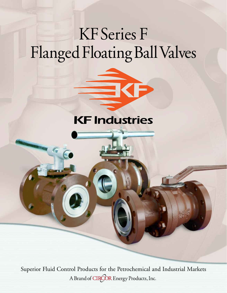# KF Series F FlangedFloatingBallValves

# **KF Industries**

 $G_{G}$ 

Superior Fluid Control Products for the Petrochemical and Industrial MarketsA Brand of CIRCOR Energy Products, Inc.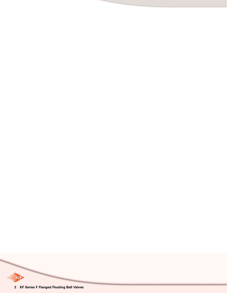

郭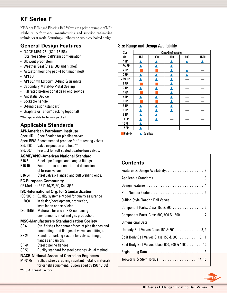### **KF Series F**

KF Series F Flanged Floating Ball Valves are a prime example of KF's reliability, performance, manufacturing and superior engineering techniques at work. Featuring a unibody or two-piece bolted design.

### **General Design Features**

- NACE MR0175 -(ISO 15156) (Stainless Steel ball/stem configuration)
- Blowout proof stem
- Weather Seal (Class 600 and higher)
- Actuator mounting pad (4 bolt machined)
- API 6D
- API 607 4th Edition\* (0-Ring & Graphite)
- Secondary Metal-to-Metal Sealing
- Full rated bi-directional dead end service
- Antistatic Device
- Lockable handle
- O-Ring design (standard)
- Graphite or Teflon® packing (optional)

\*Not applicable to Teflon® packed.

### **Applicable Standards**

#### **API-American Petroleum Institute**

Spec. 6D Specification for pipeline valves. Spec. RP6F Recommended practice for fire testing valves. Std. 598 Valve inspection and test.\*\*

Std. 607 Fire test for soft seated quarter-turn valves.

#### **ASME/ANSI-American National Standard**

- B16.5 Steel pipe flanges and flanged fittings.
- B16.10 Face-to-face and end-to-end dimensions of ferrous valves.
- B16.34 Steel valves- Flanged and butt welding ends.

#### **EC-European Community**

CE Marked (P.E.D. 97/23/EC, Cat. 3)\*\*

#### **ISO-International Org. for Standardization**

- ISO 9001: Quality systems-Model for quality assurance 2000 in design/development, production, installation and servicing.
- ISO 15156 Materials for use in H2S containing environments in oil and gas production.

#### **MSS-Manufacturers Standardization Society**

- SP 6 Std. finishes for contact faces of pipe flanges and connecting- end flanges of valves and fittings.
- SP 25 Standard marking system for valves, fittings, flanges and unions.
- SP 44 Steel pipeline flanges.
- SP 55 Cuality standard for steel castings visual method.

#### **NACE-National Assoc. of Corrosion Engineers**

MR0175 Sulfide stress cracking resistant metallic materials for oilfield equipment. (Superseded by ISO 15156)

\*\*P.O.A. consult factory.

#### Size Range and Design Availability



### **Contents**

| <b>0-Ring Style Floating Ball Valves</b>         |
|--------------------------------------------------|
| Component Parts, Class 150 & 300  6              |
| Component Parts, Class 600, 900 & 1500 7         |
| Dimensional Data                                 |
| Unibody Ball Valves Class 150 & 300 8, 9         |
| Split Body Ball Valves Class 150 & 300 10, 11    |
| Split Body Ball Valves, Class 600, 900 & 1500 12 |
|                                                  |
| Topworks & Stem Torque  14, 15                   |

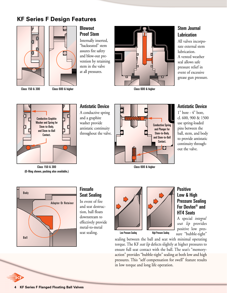### **KF Series F Design Features**





**Blowout** Proof Stem

Internally inserted, "backseated" stem assures fire safety and blow-out prevention by retaining stem in the valve at all pressures.



Class 150 & 300 Class 600 & higher Class 600 & higher

### Stem Journal **Lubrication**

All valves incorporate external stem lubrication. A vented weather seal allows safe pressure relief in event of excessive grease gun pressure.

### Antistatic Device

1" bore - 4" bore, cl. 600, 900 & 1500 use spring-loaded pins between the ball, stem, and body to provide antistatic continuity throughout the valve.



Class 150 & 300 (O-Ring shown, packing also available.)

### Antistatic Device

A conductive spring and a graphite washer provide antistatic continuity throughout the valve.



Class 600 & higher



### Firesafe Seat Sealing

In event of fire and seat destruction, ball floats downstream to effectively provide metal-to-metal seat sealing.



Low Pressure Sealing High Pressure Sealing



### **Positive** Low & High Pressure Sealing For Devlon® and HT4 Seats

A special *integral seat lip* provides positive low pressure "bubble-tight"

sealing between the ball and seat with minimal operating torque. The KF *seat lip* defects slightly at higher pressures to ensure full seat contact with the ball. The seat's "memoryaction" provides "bubble-tight" sealing at both low and high pressures. This "self compensation for swell" feature results in low torque and long life operation.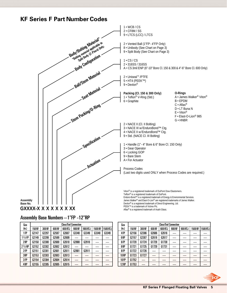### **KF Series F Part Number Codes**



#### Assembly Base Numbers –1"FP -12"RP

**Assembly Base No.**

| Size                 |               |        |        | <b>Class/End Connection</b> |               |         |                          |                          |
|----------------------|---------------|--------|--------|-----------------------------|---------------|---------|--------------------------|--------------------------|
| (in.)                | <b>150 RF</b> | 300 RF | 600 RF | 600 RTJ                     | <b>900 RF</b> | 900 RTJ | 1500RF                   | <b>1500 RTJ</b>          |
| 1FP                  | G2147         | G2297  | G2597  | G2607                       | G3348         | G3349   | G3348                    | G3349                    |
| $11/2$ FP            | G2149         | G2299  | G2599  | G2609                       |               |         | ÷                        | $\overline{\phantom{a}}$ |
| 2 RP                 | G2150         | G2300  | G2600  | G2610                       | G2900         | G2910   | $\overline{\phantom{0}}$ | $\overline{\phantom{m}}$ |
| $21/2$ <sub>RP</sub> | G2152         | G2302  | G2602  | G2612                       |               |         |                          |                          |
| 2FP                  | G2151         | G2301  | G2601  | G2611                       | G2901         | G2911   |                          | -                        |
| 3RP                  | G2153         | G2303  | G2603  | G2613                       |               |         | ÷                        | e e                      |
| 3 FP                 | G2154         | G2304  | G2604  | G2614                       |               |         |                          | —                        |
| 4RP                  | G2155         | G2305  | G2605  | G2615                       |               |         |                          |                          |

| Size            | <b>Class/End Connection</b> |        |        |         |        |         |         |                 |  |  |  |  |
|-----------------|-----------------------------|--------|--------|---------|--------|---------|---------|-----------------|--|--|--|--|
| (in.)           | <b>150 RF</b>               | 300 RF | 600 RF | 600 RTJ | 900 RF | 900 RTJ | 1500 RF | <b>1500 RTJ</b> |  |  |  |  |
| 4FP             | G2156                       | G2306  | G2606  | G2616   |        |         |         |                 |  |  |  |  |
| 6RP             | G2157                       | G2307  | G2618  | G2617   |        |         |         |                 |  |  |  |  |
| 6FP             | G1720                       | G1724  | G1728  | G1730   |        |         |         |                 |  |  |  |  |
| 8 <sub>RP</sub> | G1721                       | G1725  | G1729  | G1731   |        |         |         |                 |  |  |  |  |
| 8FP             | G1722                       | G1726  |        |         |        |         |         |                 |  |  |  |  |
| <b>10 RP</b>    | G1723                       | G1727  |        |         |        |         |         |                 |  |  |  |  |
| 10 FP           | G1752                       |        |        |         |        |         |         |                 |  |  |  |  |
| 12 RP           | G1753                       |        |        |         |        |         |         |                 |  |  |  |  |

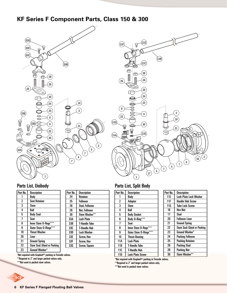### **KF Series F Component Parts, Class 150 & 300**





Part No. | Description

11E | Lock Plate Lock Washer 11F | Handle Hub Screw 11G | Tube Lock Screw 16 Hex Nut 17 | Stud 20 | Follower Liner 21 Ground Spring

22 Stem Seal: Gland or Packing

23 Ground Washer\* 24 | Packing Follower 25 | Packing Retainer 26 | Packing Stud 28 **Packing Nut** 

#### Parts List, Unibody

| Part No. | <b>Description</b>                 |
|----------|------------------------------------|
|          | Body                               |
| 2        | <b>Seat Retainer</b>               |
| 3        | Stem                               |
| 4        | Ball                               |
| 5        | <b>Body Seal</b>                   |
| 7        | Seat                               |
| 8        | Inner Stem 0-Rngs***               |
| 9        | Outer Stem O-Rings***              |
| 10       | <b>Thrust Washer</b>               |
| 20       | Liner                              |
| 21       | <b>Ground Spring</b>               |
| 22       | <b>Stem Seal: Gland or Packing</b> |
| 23       | Ground Washer*                     |

| Part No. | <b>Description</b>   |
|----------|----------------------|
| 24       | Retainer             |
| 25       | Follower             |
| 26       | Stud, Follower       |
| 28       | Nut. Follower        |
| 30       | Stem Washer**        |
| 33A      | I ock Plate          |
| 33B      | <b>T-Handle Tube</b> |
| 33C      | <b>T-Handle Hub</b>  |
| 33D      | Lock Washer          |
| 33F      | <b>Screw. Hex</b>    |
| 33F      | <b>Screw. Hex</b>    |
| 330      | <b>Screw, Square</b> |
|          |                      |

#### \*Not required with Graphoil® packing in Firesafe valves.

\*\*Required in 2" and larger packed valves only.

\*\*\*Not used in packed stem valves.

11D | Lock Plate Screw 30 Stem Washer\*\*

\*Not required with Graphoil® packing in Firesafe valves.

\*\*Required in 2" and larger packed valves only.

8 | Inner Stem O-Rngs\*\*\* 9 | Outer Stem O-Rings\*\*\* 10 | Thrust Bearing 11A | Lock Plate 11B | T-Handle Tube 11C | T-Handle Hub

\*\*\*Not used in packed stem valves.

Part No. Description 1 Body 2 | Adapter 3 Stem 4 Ball 5 Body Gasket  $6 \quad |$  Body 0-Ring\*\* 7 Seat

Parts List, Split Body

**6 KF Series F Flanged Floating Ball Valves**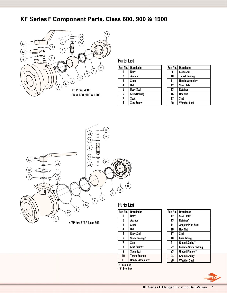### **KF Series F Component Parts, Class 600, 900 & 1500**



### Parts List

| Part No. | <b>Description</b>  |
|----------|---------------------|
|          | Body                |
| 2        | Adapter             |
| 3        | <b>Stem</b>         |
| 4        | Ball                |
| 5        | <b>Body Seal</b>    |
| 6        | <b>Stem Bearing</b> |
| 7        | Seat                |
| 8        | <b>Stop Screw</b>   |

| Part No. | <b>Description</b>     |
|----------|------------------------|
| g        | <b>Stem Seal</b>       |
| 10       | <b>Thrust Bearing</b>  |
| 11       | <b>Handle Assembly</b> |
| 12       | <b>Stop Plate</b>      |
| 13       | <b>Retainer</b>        |
| 16       | <b>Hex Nut</b>         |
| 17       | Stud                   |
| 39       | <b>Weather Seal</b>    |



| Part No. | <b>Description</b>           |
|----------|------------------------------|
| 12       | Stop Plate*                  |
| 13       | Retainer*                    |
| 14       | <b>Adapter Pilot Seal</b>    |
| 16       | <b>Hex Nut</b>               |
| 17       | Stud                         |
| 18       | <b>Lube Fitting</b>          |
| 21       | <b>Ground Spring**</b>       |
| 22       | <b>Firesafe Stem Packing</b> |
| 23       | Ground Plunger*              |
| 24       | Ground Spring*               |
| 39       | <b>Weather Seal</b>          |

\*\*6" Bore Only

5 | Body Seal 6 | Stem Bearing\* 7 Seat 8 | Stop Screw<sup>\*</sup> 9 Stem Seal

10 Thrust Bearing 11 | Handle Assembly<sup>\*</sup> \*4" Bore Only

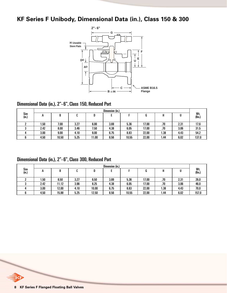### **KF Series F Unibody, Dimensional Data (in.), Class 150 & 300**



### Dimensional Data (in.), 2"-6", Class 150, Reduced Port

|               | Dimension (in.) |          |      |       |      |       |        |         |      |               |
|---------------|-----------------|----------|------|-------|------|-------|--------|---------|------|---------------|
| Size<br>(in.) | А               | B        |      | D     |      |       | c<br>u | н       |      | Wt.<br>(lbs.) |
|               | 1.50            | $7.00\,$ | 3.27 | 6.00  | 3.69 | 5.36  | 17.00  | .70     | 2.31 | 17.6          |
|               | 2.42            | 8.00     | 3.46 | 7.50  | 4.38 | 6.05  | 17.00  | $.70\,$ | 3.06 | 31.5          |
|               | 3.00            | 9.00     | 4.10 | 9.00  | 6.75 | 8.83  | 22.00  | 1.38    | 4.43 | 54.2          |
|               | 4.50            | 10.50    | 5.25 | 11.00 | 8.56 | 10.55 | 22.00  | 1.44    | 6.02 | 137.0         |

### Dimensional Data (in.), 2"-6", Class 300, Reduced Port

|               |      | Dimension (in.) |      |       |      |       |        |      |      |               |  |  |  |  |
|---------------|------|-----------------|------|-------|------|-------|--------|------|------|---------------|--|--|--|--|
| Size<br>(in.) | n    | B               |      | D     |      |       | c<br>u | н    |      | Wt.<br>(lbs.) |  |  |  |  |
|               | 1.50 | 8.50            | 3.27 | 6.50  | 3.69 | 5.36  | 17.00  | .70  | 2.31 | 26.0          |  |  |  |  |
|               | 2.42 | 11.12           | 3.96 | 8.25  | 4.38 | 6.05  | 17.00  | .70  | 3.06 | 46.0          |  |  |  |  |
|               | 3.00 | 12.00           | 4.10 | 10.00 | 6.75 | 8.83  | 22.00  | 1.38 | 4.43 | 70.0          |  |  |  |  |
|               | 4.50 | 15.88           | 5.25 | 12.50 | 8.56 | 10.55 | 22.00  | 1.44 | 6.02 | 157.0         |  |  |  |  |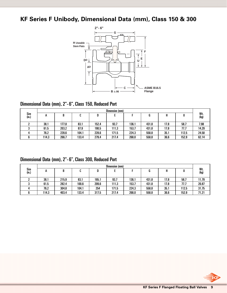### **KF Series F Unibody, Dimensional Data (mm), Class 150 & 300**



### Dimensional Data (mm), 2"-6", Class 150, Reduced Port

|               |       | Dimension (mm) |       |       |       |       |       |      |       |             |  |  |  |  |
|---------------|-------|----------------|-------|-------|-------|-------|-------|------|-------|-------------|--|--|--|--|
| Size<br>(in.) | А     |                | c     |       |       |       |       |      |       | Wt.<br>(kg) |  |  |  |  |
|               | 38.1  | 177.8          | 83.1  | 152.4 | 93.7  | 136.1 | 431.8 | 17.8 | 58.7  | 7.98        |  |  |  |  |
|               | 61.5  | 203.2          | 87.9  | 190.5 | 111.3 | 153.7 | 431.8 | 17.8 | 77.7  | 14.29       |  |  |  |  |
|               | 76.2  | 228.6          | 104.1 | 228.6 | 171.5 | 224.3 | 558.8 | 35.1 | 112.5 | 24.58       |  |  |  |  |
|               | 114.3 | 266.7          | 133.4 | 279.4 | 217.4 | 268.0 | 558.8 | 36.6 | 152.9 | 62.14       |  |  |  |  |

### Dimensional Data (mm), 2"-6", Class 300, Reduced Port

|               |       | Dimension (mm) |       |       |       |       |       |      |       |             |  |  |  |  |
|---------------|-------|----------------|-------|-------|-------|-------|-------|------|-------|-------------|--|--|--|--|
| Size<br>(in.) | A     |                | c     | D     |       |       |       |      |       | Wt.<br>(kg) |  |  |  |  |
|               | 38.1  | 215.9          | 83.1  | 165.1 | 93.7  | 136.1 | 431.8 | 17.8 | 58.7  | 11.79       |  |  |  |  |
|               | 61.5  | 282.4          | 100.6 | 209.6 | 111.3 | 153.7 | 431.8 | 17.8 | 77.7  | 20.87       |  |  |  |  |
|               | 76.2  | 304.8          | 104.1 | 254   | 171.5 | 224.3 | 558.8 | 35.1 | 112.5 | 31.75       |  |  |  |  |
|               | 114.3 | 403.4          | 133.4 | 317.5 | 217.4 | 268.0 | 558.8 | 36.6 | 152.9 | 71.21       |  |  |  |  |

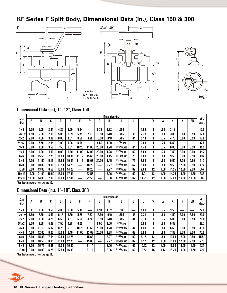### **KF Series F Split Body, Dimensional Data (in.), Class 150 & 300**









### Dimensional Data (in.), 1"- 12", Class 150

|                    |       |       |         |       |       |       |       |       | Dimension (in.) |             |     |       |    |      |       |       |       | Wt.    |
|--------------------|-------|-------|---------|-------|-------|-------|-------|-------|-----------------|-------------|-----|-------|----|------|-------|-------|-------|--------|
| Size<br>(in.)      | A     | B     | r<br>L. | D     | F     |       | F1    | G     | Н               | J           |     | U     | V  | W    | χ     | v     | BB    | (lbs.) |
| 1x1                | .00.  | 5.00  | 2.31    | 4.25  | 3.50  | 5.44  |       | 6.31  | 1.32            | .586        | __  | 1.69  | 4  | .63  | 3.13  |       |       | 17.0   |
| $11/2 \times 11/2$ | .50   | 6.50  | 2.96    | 5.00  | 3.69  | 5.75  | 7.37  | 15.50 | .640            | .705        | .38 | 2.31  | 4  | .63  | 3.88  | 6.00  | 6.50  | 12.8   |
| 2x2                | 2.00  | 7.00  | 3.02    | 6.00  | 4.51  | 6.56  | 8.20  | 15.50 | .640            | .705        | .44 | 3.14  | 4  | .75  | 4.75  | 6.00  | 6.50  | 17.6   |
| $2^{1/2}x2^{*}$    | 2.00  | 7.50  | 2.94    | 7.00  | 4.38  | 6.06  | __    | 8.50  | 00.1            | .873/0.871  |     | 3.06  | 4  | .75  | 5.50  |       |       | 37.5   |
| 3x3                | 3.00  | 0.00  | 3.50    | 7.50  | 6.81  | 10.25 | 11.63 | 20.00 | 1.28            | 1.067/1.062 | .44 | 4.43  | 4  | .75  | 6.00  | 6.00  | 6.50  | 31.5   |
| 4x4                | 4.00  | 9.00  | 4.00    | 9.00  | 8.40  | 11.00 | 13.08 | 20.00 | 1.28            | 1.321/1.316 | .62 | 5.88  | 8  | .75  | 7.50  | 8.00  | 9.00  | 54.2   |
| 6x6                | 6.00  | 15.50 | 7.75    | 1.00  | 10.81 | 11.12 | 15.63 | 20.00 | l.45            | 1.515/1.510 | .75 | 8.00  | 8  | .88  | 9.50  | 8.00  | 9.50  | 137    |
| 8 x 6              | 6.00  | 11.50 | 5.13    | 13.50 | 10.81 | 11.12 | 15.63 | 20.00 | l.45            | 1.515/1.510 | .75 | 0.00  | 8  | .88  | 9.50  | 8.00  | 9.50  | 210    |
| 8x8                | 8.00  | 18.00 | 9.00    | 13.50 | 14.25 |       | 18.26 |       | 2.27            | 1.997/1.994 | .62 | 9.64  | 8  | .88  | 9.50  | 12.00 | 9.50  | 477    |
| 10x8               | 8.00  | 13.00 | 6.50    | 16.00 | 14.25 |       | 18.26 |       | 2.27            | 1.997/1.994 | .62 | 9.64  | 12 | 1.00 | 14.25 | 12.00 | 9.50  | 557    |
| 10x10              | 10.00 | 21.00 | 10.50   | 16.00 | 17.41 |       | 22.53 |       | 3.06            | 2.497/2.493 | .62 | 11.91 | 12 | 1.00 | 14.25 | 16.00 | 11.50 | 685    |
| $12\times10$       | 10.00 | 14.00 | 7.00    | 19.00 | 17.41 |       | 22.53 |       | 3.06            | 2.497/2.493 | .62 | 11.91 | 12 | 1.00 | 17.00 | 16.00 | 11.50 | 806    |

\*For design artwork, refer to page 12.

### Dimensional Data (in.), 1"- 10", Class 300

|                    |      |       |        |       |       |       |       |       | Dimension (in.) |             |     |       |    |      |       |       |           | Wt.    |
|--------------------|------|-------|--------|-------|-------|-------|-------|-------|-----------------|-------------|-----|-------|----|------|-------|-------|-----------|--------|
| Size<br>(in.)      | A    | B     | r<br>u |       |       |       | F1    | G     | н               |             |     | U     |    | W    | Λ     |       | <b>BB</b> | (lbs.) |
| 1 x 1              |      | 6.50  | 3.50   | 4.88  | 3.50  | 5.44  |       | 6.31  | . 32            | .586        |     | 1.69  | 4  | .75  | 3.50  |       |           | 22.0   |
| $11/2 \times 11/2$ | l.50 | 7.50  | 3.53   | 6.13  | 3.69  | 5.75  | 7.37  | 15.50 | .640            | .705        | .38 | 2.31  | 4  | .88  | 4.50  | 6.00  | 6.50      | 20.0   |
| 2x2                | 2.00 | 8.50  | 4.25   | 6.50  | 4.51  | 6.56  | 8.20  | 15.50 | .640            | .705        | .44 | 3.14  | 8  | .75  | 5.00  | 6.00  | 6.50      | 26.0   |
| 21/2x2             | 2.00 | 9.50  | 4.69   | 7.50  | 4.38  | 6.06  | —     | 8.50  | 1.00            | .873/.871   | __  | 3.06  | 8  | .88  | 5.88  |       |           | 43.7   |
| 3x3                | 3.00 | 11.13 | 5.82   | 8.25  | 6.81  | 10.25 | 11.63 | 20.00 | .28             | 1.067/1.062 | .44 | 4.43  | 8  | .88  | 6.63  | 6.00  | 6.50      | 46.0   |
| 4x4                | 4.00 | 12.00 | 6.00   | 10.00 | 8.40  | 11.00 | 13.08 | 20.00 | .28             | 1.321/1.316 | .62 | 5.88  | 8  | .88  | 7.88  | 8.00  | 9.00      | 70.0   |
| 6x6                | 6.00 | 15.88 | 7.94   | 12.50 | 12.75 |       | 15.63 |       | 2.27            | 1.950/1.945 | .62 | 8.12  | 12 | .88  | 10.63 | 12.00 | 9.50      | 157.0  |
| 8x6                | 6.00 | 16.50 | 6.63   | 15.00 | 12.75 |       | 15.63 |       | 2.27            | 1.950/1.945 | .62 | 8.12  | 12 | 1.00 | 13.00 | 12.00 | 9.50      | 275    |
| $8 \times 8$       | 8.00 | 19.75 | 9.88   | 15.00 | 16.00 |       | 21.14 |       | 3.06            | 2.497/2.492 | .62 | 10.52 | 12 | 1.00 | 13.00 | 16.00 | 11.50     | 624    |
| 10x8               | 8.00 | 18.00 | 6.25   | 17.50 | 16.00 |       | 21.14 |       | 3.06            | 2.497/2.492 | .62 | 10.52 | 16 | 1.13 | 15.25 | 16.00 | 11.50     | 724    |

\*For design artwork, refer to page 12.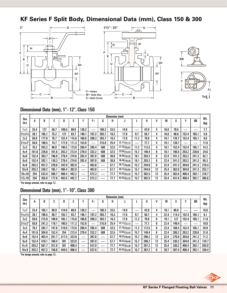### **KF Series F Split Body, Dimensional Data (mm), Class 150 & 300**









### Dimensional Data (mm), 1"- 12", Class 150

|                    |       |       |         |       |       |       |       |       | Dimension (mm) |             |      |       |    |      |        |       |           | Wt.   |
|--------------------|-------|-------|---------|-------|-------|-------|-------|-------|----------------|-------------|------|-------|----|------|--------|-------|-----------|-------|
| Size<br>(in.)      | А     | B     | C<br>L. | D     | F     |       | F1    | G     | н              |             |      | U     | V  | W    | v<br>^ |       | <b>BB</b> | (kg)  |
| 1 x 1              | 25.4  | 127   | 58.7    | 108.0 | 88.9  | 138.2 |       | 160.3 | 33.5           | 14.9        |      | 42.9  | 4  | 16.0 | 79.5   |       |           | 7.7   |
| $11/2 \times 11/2$ | 38.1  | 165.1 | 75.2    | 127   | 93.7  | 146.1 | 187.2 | 393.7 | 16.3           | 17.9        | 9.7  | 58.7  | 4  | 16.0 | 98.6   | 152.4 | 165.′     | 5.8   |
| 2x2                | 50.8  | 177.8 | 76.7    | 152.4 | 115.0 | 166.6 | 208.3 | 393.7 | 16.3           | 17.9        | 11.2 | 79.8  | 4  | 19.1 | 120.7  | 152.4 | 165.1     | 8.0   |
| $2^{1/2}x2^{*}$    | 50.8  | 190.5 | 74.7    | 177.8 | 111.3 | 153.9 | —     | 215.9 | 25.4           | 22.17/22.12 | —    | 77.7  | 4  | 19.1 | 139.7  |       |           | 17.0  |
| 3x3                | 76.2  | 203.2 | 88.9    | 190.5 | 173.0 | 260.4 | 295.4 | 508   | 32.5           | 27.10/26.97 | 11.2 | 112.5 | 4  | 19.1 | 152.4  | 152.4 | 165.1     | 14.3  |
| 4x4                | 101.6 | 228.6 | 101.6   | 203.2 | 213.4 | 279.4 | 332.2 | 508   | 32.5           | 33.55/33.43 | 15.7 | 149.4 | 8  | 19.1 | 190.5  | 203.2 | 228.6     | 24.6  |
| 6x6                | 152.4 | 393.7 | 196.9   | 279.4 | 274.6 | 282.4 | 397.0 | 508   | 36.8           | 38.48/38.35 | 19.1 | 203.2 | 8  | 22.4 | 241.3  | 203.2 | 241.3     | 62.1  |
| 8 x 6              | 152.4 | 292.1 | 130.3   | 279.4 | 274.6 | 282.4 | 397.0 | 508   | 36.8           | 38.48/38.35 | 19.1 | 203.2 | 8  | 22.4 | 241.3  | 203.2 | 241.3     | 95.3  |
| 8x8                | 203.2 | 457.2 | 228.6   | 342.9 | 362.0 |       | 463.8 |       | 57.7           | 50.72/50.65 | 15.7 | 244.9 | 8  | 22.4 | 241.3  | 304.8 | 241.3     | 216.4 |
| 10x8               | 203.2 | 330.2 | 165.1   | 406.4 | 362.0 |       | 463.8 |       | 57.7           | 50.72/50.65 | 15.7 | 244.9 | 12 | 25.4 | 362.0  | 304.8 | 241.3     | 252.7 |
| 10 x 10            | 254   | 533.4 | 266.7   | 406.4 | 442.2 |       | 572.3 |       | 77.7           | 63.42/63.32 | 15.7 | 302.5 | 12 | 25.4 | 362.0  | 406.4 | 292.1     | 310.7 |
| 12 x 10            | 254   | 355.6 | 177.8   | 482.6 | 442.2 |       | 572.3 |       | 77.7           | 63.42/63.32 | 15.7 | 302.5 | 12 | 25.4 | 431.8  | 406.4 | 292.1     | 365.6 |

\*For design artwork, refer to page 12.

### Dimensional Data (mm), 1"- 10", Class 300

|                       |       |       |        |       |       |       |       |       | Dimension (mm) |               |      |       |    |      |        |       |       |             |
|-----------------------|-------|-------|--------|-------|-------|-------|-------|-------|----------------|---------------|------|-------|----|------|--------|-------|-------|-------------|
| Size<br>(in.)         | A     | B     | c<br>ъ |       |       |       |       | G     | н              |               |      | U     | V  | w    | v<br>Λ |       | BB    | Wt.<br>(kg) |
| 1 x 1                 | 25.4  | 165.1 | 88.9   | 124.0 | 88.9  | 138.2 |       | 160.3 | 33.5           | 14.9          |      | 42.9  | 4  | 19.1 | 88.9   |       |       | 10.0        |
| $11/2 \times 11/2$    | 38.1  | 190.5 | 89.7   | 155.7 | 93.7  | 146.1 | 187.2 | 393.7 | 16.3           | 17.9          | 9.7  | 58.7  | 4  | 22.4 | 114.3  | 152.4 | 165.1 | 9.1         |
| 2x2                   | 50.8  | 215.9 | 108.0  | 165.1 | 115.0 | 166.6 | 208.3 | 393.7 | 16.3           | 17.9          | 11.2 | 79.8  | 8  | 19.1 | 127    | 152.4 | 165.1 | 11.8        |
| $21/2x2$ <sup>*</sup> | 50.8  | 241.3 | 19.1   | 190.5 | 111.3 | 153.9 |       | 215.9 | 25.4           | 22.17/22.12   | —    | 77.7  | 8  | 22.4 | 149.4  |       |       | 19.8        |
| 3x3                   | 76.2  | 282.7 | 147.8  | 210.0 | 173.0 | 260.4 | 295.4 | 508   | 32.5           | 27.10/26.97   | 11.2 | 112.5 | 8  | 22.4 | 168.4  | 152.4 | 165.1 | 20.9        |
| 4x4                   | 101.6 | 304.8 | 152.4  | 254   | 213.4 | 279.4 | 332.2 | 508   | 32.5           | 33.55/33.43   | 15.7 | 149.4 | 8  | 22.4 | 200.2  | 203.2 | 228.6 | 31.8        |
| 6x6                   | 152.4 | 403.4 | 201.7  | 317.5 | 323.9 |       | 397.0 |       | 57.7           | 49.53 / 49.40 | 15.7 | 206.2 | 12 | 22.4 | 270.0  | 304.8 | 241.3 | 71.2        |
| 8 x 6                 | 152.4 | 419.1 | 168.4  | 381   | 323.9 |       | 397.0 |       | 57.7           | 49.53/49.40   | 15.7 | 206.2 | 12 | 25.4 | 330.2  | 304.8 | 241.3 | 124.7       |
| $8 \times 8$          | 203.2 | 501.7 | 251.0  | 381   | 406.4 |       | 537.0 |       | 77.7           | 63.42/63.30   | 15.7 | 267.2 | 12 | 25.4 | 330.2  | 406.4 | 292.1 | 283.0       |
| 10x8                  | 203.2 | 457.2 | 158.8  | 444.5 | 406.4 |       | 537.0 |       | 77.7           | 63.42/63.30   | 15.7 | 267.2 | 6  | 28.7 | 387.4  | 406.4 | 292.1 | 328.4       |

\*For design artwork, refer to page 12.

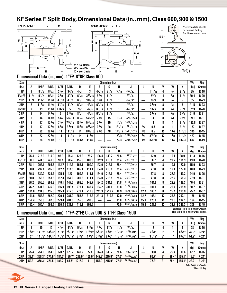### **KF Series F Split Body, Dimensional Data (in., mm), Class 600, 900 & 1500**







**\*Refer to data sheets or consult factory for dimensional data.**

### Dimensional Data (in., mm), 1"FP-8"RP, Class 600

| <b>Size</b>         |                |                    |                 |           |                 |            |                    |           | Dimension (in.) |           |             |                          |              |    |              |                    | Wt.    | <b>Ring</b> |
|---------------------|----------------|--------------------|-----------------|-----------|-----------------|------------|--------------------|-----------|-----------------|-----------|-------------|--------------------------|--------------|----|--------------|--------------------|--------|-------------|
| (in.)               | A              | <b>B/RF</b>        | <b>B/RTJ</b>    | C/RF      | C/RTJ           | D          | E                  | F         | G               | H         | J           | L                        | U            | V  | W            | χ                  | (lbs.) | Groove      |
| 1FP                 |                | 81/2               | 81/2            | $3^{3/4}$ | $3^{3/4}$       | 47/8       | 3                  | 43/16     | 57/8            | 13/16     | .623 / .621 |                          | 111/16       | 4  | 3/4          | 31/2               | 25     | $R-16$      |
| 11/2FP              | 11/2           | 91/2               | 91/2            | 37/8      | 37/8            | 61/8       | 315/16             | 55/8      | 81/2            | 1         | .873/.871   | $\overline{\phantom{0}}$ | $2^{5/8}$    | 4  | 7/8          | 41/2               | 30.4   | $R-20$      |
| 2RP                 | 11/2           | 11 <sup>1</sup> /2 | $11\frac{5}{8}$ | 47/16     | 41/2            | 61/2       | 315/16             | $5^{5/8}$ | 81/2            | 1         | .873/0.871  |                          | $2^{5/8}$    | 8  | 3/4          | 5                  | 35     | $R-23$      |
| 2FP                 | $\mathbf{2}$   | $11^{1/2}$         | $11\frac{5}{8}$ | 47/16     | 41/2            | 61/2       | $4^{3}/8$          | 61/16     | 81/2            | 1         | .873 / .871 | $\overline{\phantom{0}}$ | 31/16        | 8  | 3/4          | 5                  | 41.5   | $R-23$      |
| 2 <sup>1</sup> /2RP | $\mathbf{2}$   | 13                 | $13^{1/8}$      | 415/16    | 5               | 71/2       | 43/8               | 61/16     | 81/2            | 1         | .873/.871   | $\overline{\phantom{0}}$ | 31/16        | 8  | 7/8          | 57/8               | 52.9   | $R-26$      |
| 3RP                 | $\overline{2}$ | 14                 | $14^{1/8}$      | 6         | 61/16           | 81/4       | 43/8               | 61/16     | 81/2            | 1         | .873/0.871  | —                        | 31/16        | 8  | 7/8          | 65/8               | 61.6   | $R-31$      |
| 3FP                 | 3              | 14                 | $14^{1/8}$      | 53/4      | 513/16          | 81/4       | 521/32             | 71/4      | 15              | 11/4      | 1.248/1.246 |                          | 4            | 8  | 7/8          | 65/8               | 89.1   | $R-31$      |
| 4RP                 | 3              | 17                 | $17^{1/8}$      | 73/4      | 713/16          | $10^{3/4}$ | 521/32             | 71/4      | 15              | 11/4      | 1.248/1.246 | $\overline{\phantom{0}}$ | 4            | 8  | $\mathbf{1}$ | 81/2               | 133.8  | $R-37$      |
| 4FP                 | 4              | 17                 | $17^{1/8}$      | 81/2      | $8\frac{9}{16}$ | $10^{3/4}$ | 819/32             | 91/2      | 48              | 111/16    | 1.791/1.773 | 1/2                      | 6.5          | 8  | 1            | 81/2               | 167    | $R-37$      |
| 6RP                 | 4              | 22                 | $22^{1/8}$      | 11        | $11^{1/16}$     | 14         | 819/32             | 91/2      | 48              | 111/16    | 1.791/1.773 | 1/2                      | 6.5          | 12 | 11/8         | $11^{1/2}$         | 345    | $R-45$      |
| 6FP                 | ĥ              | 22                 | $22^{1/8}$      | 11        | $11^{1/16}$     | 14         | 11 <sup>3</sup> /4 |           |                 | $2^{7/8}$ | 2.499/2.492 | 5/8                      | 825/32       | 12 | 11/8         | $11^{1/2}$         | 427    | $R-45$      |
| 8RP                 | 6              | 26                 | 261/8           | 13        | $13^{1/16}$     | $16^{1/2}$ | $11^{3}/4$         |           |                 | $2^{7/8}$ | 2.499/2.492 | 5/8                      | 825/32       | 12 | 11/4         | 13 <sup>3</sup> /4 | 672    | $R-49$      |
| Size                |                |                    |                 |           |                 |            |                    |           | Dimension (mm)  |           |             |                          |              |    |              |                    | Wt.    | <b>Ring</b> |
| (in.)               | A              | <b>B/RF</b>        | <b>B/RTJ</b>    | C/RF      | C/RTJ           | D          | E                  | F         | G               | H         | J.          | L                        | $\mathbf{I}$ | V  | W            | χ                  | (kg)   | Groove      |
| 1FP                 | 25.4           | 215.9              | 215.9           | 95.3      | 95.3            | 123.8      | 76.2               | 106.4     | 149.2           | 20.6      | 15.82/15.77 | —                        | 42.9         | 4  | 19.1         | 88.9               | 11.3   | $R-16$      |
| 11/2FP              | 38.1           | 241.3              | 241.3           | 98.4      | 98.4            | 155.6      | 100.0              | 142.9     | 215.9           | 25.4      | 22.17/22.12 | —                        | 66.7         | 4  | 22.2         | 114.3              | 13.8   | $R-20$      |
| 2 <sub>RP</sub>     | 38.1           | 292.1              | 295.3           | 112.7     | 114.3           | 165.1      | 100.0              | 142.9     | 215.9           | 25.4      | 22.17/22.12 | —                        | 66.7         | 8  | 19.1         | 127.0              | 15.9   | $R-23$      |
| 2FP                 | 50.8           | 292.1              | 295.3           | 112.7     | 114.3           | 165.1      | 111.1              | 154.0     | 215.9           | 25.4      | 22.17/22.12 | $\overline{\phantom{0}}$ | 77.8         | 8  | 19.1         | 127.0              | 18.8   | $R-23$      |
| 2 <sup>1</sup> /2RP | 50.8           | 330.2              | 333.4           | 125.4     | 127             | 190.5      | 111.1              | 154.0     | 215.9           | 25.4      | 22.17/22.12 |                          | 77.8         | 8  | 22.2         | 149.2              | 24.0   | $R-26$      |
| 3RP                 | 50.8           | 355.6              | 358.8           | 152.4     | 154.0           | 209.6      | 111.1              | 154.0     | 215.9           | 25.4      | 22.17/22.12 |                          | 77.8         | 8  | 22.2         | 168.3              | 27.9   | $R-31$      |
| 3FP                 | 76.2           | 355.6              | 358.8           | 146.1     | 147.6           | 209.6      | 143.7              | 184.2     | 381.0           | 31.8      | 31.70/31.65 | —                        | 101.6        | 8  | 22.2         | 168.3              | 40.4   | $R-31$      |
| 4 <sub>RP</sub>     | 76.2           | 431.8              | 435.0           | 196.9     | 198.4           | 273.1      | 143.7              | 184.2     | 381.0           | 31.8      | 31.70/31.65 | $\overline{\phantom{0}}$ | 101.6        | 8  | 25.4         | 215.9              | 60.7   | $R-37$      |
| 4FP                 | 101.6          | 431.8              | 435.0           | 215.9     | 217.5           | 273.1      | 218.3              | 241.3     | 1219.2          | 42.9      | 45.49/45.03 | 12.7                     | 165.1        | 8  | 25.4         | 215.9              | 75.7   | $R-37$      |
| 6 <sub>RP</sub>     | 101.6          | 558.8              | 562.0           | 279.4     | 281.0           | 355.6      | 218.3              | 241.3     | 1219.2          | 42.9      | 45.49/45.03 | 12.7                     | 165.1        | 12 | 28.6         | 292.1              | 156    | $R-45$      |
|                     |                |                    |                 |           |                 |            |                    |           |                 |           |             |                          |              |    |              |                    |        |             |
| 6FP                 | 152.4          | 558.8              | 562.0           | 279.4     | 281.0           | 355.6      | 298.5              |           |                 | 73.0      | 63.47/63.30 | 15.9                     | 223.0        | 12 | 28.6         | 292.1              | 194    | $R-45$      |

#### Dimensional Data (in., mm), 1"FP-2"FP, Class 900 & 1"FP, Class 1500

Note: Sizes 1"FP-6"RP is weight w/handle. Sizes 6"FP-8"RP is weight w/gear operator.

| Size            |         |             |              |            |              |            |           |          | Dimension (in.) |         |              |            |    |      |            | Wt.     | Ring          |
|-----------------|---------|-------------|--------------|------------|--------------|------------|-----------|----------|-----------------|---------|--------------|------------|----|------|------------|---------|---------------|
| (in.)           |         | <b>B/RF</b> | <b>B/RTJ</b> | C/RF       | <b>C/RTJ</b> |            |           |          | u               | H       |              |            |    | W    |            | (lbs.,  | <b>Groove</b> |
| 1FP             |         | 10          | 10           | 43/4       | 43/4         | 57/8       | 31/16     | 41/2     | 57/8            | 1/8     | .623/.621    |            |    |      |            | 28      | R-16          |
| 2 <sub>RP</sub> | $1/2^*$ | $141/2*$    | $145/8*$     | $71/4*$    | $75/16*$     | $81/2*$    | $315/16*$ | $55/8*$  | $81/2*$         | $1/16*$ | $.873/.871*$ | $2^{5/8*}$ | n* | $4*$ | $61/2*$    | 42.9°   | $R-24*$       |
| 2FP             | n*<br>- | $14^{1/2*}$ | $145/8*$     | $7^{1/4*}$ | $75/16*$     | $8^{1/2*}$ | $43/8*$   | $61/16*$ | $8^{1/2*}$      | 1/16*   | $.873/.871*$ | $31/16*$   | n* | $4*$ | $6^{1/2*}$ | $51.2*$ | $R-24*$       |

| Size            |         |             |              |          |             |           |          |          | Dimension (mm) |         |                |         |         |         |              | Wt.                  | <b>Ring</b> |
|-----------------|---------|-------------|--------------|----------|-------------|-----------|----------|----------|----------------|---------|----------------|---------|---------|---------|--------------|----------------------|-------------|
| (in.)           | n       | <b>B/RF</b> | <b>B/RTJ</b> | C/RF     | C/RTJ       |           |          |          | u              | H       |                |         |         | W       | $\mathbf{v}$ | (kg)                 | Groove      |
| 1 FP            | 25.4    | 254.0       | 254.0        | 20.7     | 120.7       | 149.2     | 77.8     | 14.3     | 149.2          | 28.6    | 15.82/15.77    | 50.8    | Д       | 25.4    | 101.6        | 19.<br>، ۱۷          | R-16        |
| 2 <sub>RP</sub> | $38.1*$ | $368.3*$    | 371.5*       | 184.2*   | 185<br>$7*$ | $215.9*$  | $100.0*$ | $142.9*$ | $215.9*$       | $27.0*$ | 22.17/22.12*   | $66.7*$ | n*<br>O | $25.4*$ | $165.1*$     | $19.5*$              | $R-24*$     |
| 2FP             | $50.8*$ | $368.3*$    | 371.5*       | $184.2*$ | 85.,        | $1215.9*$ |          | $154.0*$ | $215.9*$       | $27.0*$ | $22.17/22.12*$ | $77.8*$ | n*      | $25.4*$ | $165.1*$     | <b>ገገ ገ*</b><br>20.Z | $R-24*$     |

Note: Weight is w/handle. \*Class 900 Only.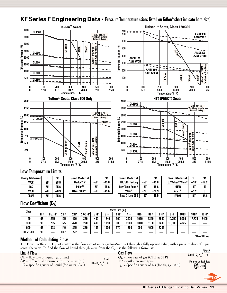### **KF Series F Engineering Data •** Pressure Temperature (sizes listed on Teflon<sup>®</sup> chart indicate bore size)



| <b>Body Material</b> | °F   | ۴C.   |
|----------------------|------|-------|
| wcc.                 | -20° | -28.9 |
| lcc                  | -50° | -45.6 |
| WCB                  | -20° | -28.9 |
| CFRM                 | -50° | -45.6 |

| <b>Seat Material</b> | °F   | 'n.   |
|----------------------|------|-------|
| Devlon® V            | -50° | -45.6 |
| Teflon®              | -50° | -45.6 |
| HT4 (PEEK™)          |      | .45.6 |

| <b>Seal Material</b>   | °F   | °C      | <b>Seal Material</b>                      | °F          | °C    |
|------------------------|------|---------|-------------------------------------------|-------------|-------|
| <b>TFE/GRF Packing</b> | -50° | -45.6   | J. Walker <sup>®</sup> Viton <sup>®</sup> | $+10^\circ$ | -12.2 |
| Low Temp Buna N        | -50° | -45.6   | <b>HNBR</b>                               | $-40^\circ$ | -40   |
| Viton®                 | -20° | $-28.9$ | Aflas <sup>®</sup>                        | +32°        |       |
| Elast-O-Lion 985       | -50° | -45.6   | EPDM                                      | -50°        | -45.6 |

#### Flow Coefficient (Cv)

| <b>Class</b> |      |          |      |      |           |      |      | Valve Size (In.) |      |      |      |      |        |       |        |                  |
|--------------|------|----------|------|------|-----------|------|------|------------------|------|------|------|------|--------|-------|--------|------------------|
|              | 1 FP | $1/2$ FP | 2 RP | 2 FP | $21/2$ RP | 3 RP | 3 FP | 4 RP             | 4FP  | 6 RP | 6FP  | 8 RP | 8FP    | 10 RP | 10 FP  | <b>12 RP</b>     |
| 150          | 98   | 265      | 125  | 470  | 220       | 430  | 1240 | 600              | 2470 | 1010 | 5249 | 2500 | 10.750 | 5000  | 17.775 | 8400             |
| 300          | 98   | 265      | 125  | 420  | 220       | 430  | 1050 | 600              | 2000 | 1010 | 5100 | 2400 | 10,300 | 4825  |        |                  |
| 600          | 93   | 308      | 140  | 365  | 220       | 185  | 1000 | 570              | 1800 | 900  | 4600 | 2235 | __     |       |        |                  |
| 900/1500     | 90   |          | 135* | 350* | __        |      |      |                  |      |      |      |      |        |       |        |                  |
|              |      |          |      |      |           |      |      |                  |      |      |      |      |        |       |        | *Class 900 only. |

#### Method of Calculating Flow

The Flow Coefficient " $C_v$ " of a valve is the flow rate of water (gallons/minute) through a fully opened valve, with a pressure drop of 1 psi across the valve. To find the flow of liquid through valve from the  $C_V$ , use the following formulas:  $P_2\triangle P$ 

 $\sqrt{\frac{\Delta P}{G}}$ 

#### Liquid Flow

 $Q\bar{L}$  = flow rate of liquid (gal./min.)

 $\Delta P$  = differential pressure across the valve (psi)

 $P =$  differential pressure across the valve (psi)<br>  $G =$  specific gravity of liquid (for water,  $G=1$ )  $Q = C_V \setminus$ 

$$
\frac{\text{Gas H}}{\text{Og} - \text{fl}}
$$

nw = flow rate of gas (CFH at STP)

 $g =$  Specific gravity of gas (for air, g=1.000)

 $P2$  = outlet pressure (psia) For non-critical flow  $Qg=61C_V$ 

 $\left\{\frac{\Delta P}{P_2}$  < 1.0}

g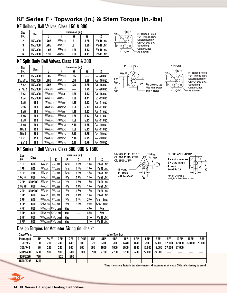### **KF Series F • Topworks (in.) & Stem Torque (in.-lbs)**

KF Unibody Ball Valves, Class 150 & 300

| Size  | <b>Class</b> |      |                         | Dimension (in.) |      |                |
|-------|--------------|------|-------------------------|-----------------|------|----------------|
| (in.) |              |      |                         |                 |      |                |
|       | 150/300      | .705 | .376/ <sub>.373</sub>   | .81             | 3.25 | $3/8-16$ UNC   |
|       | 150/300      | .705 | .376/.373               | .81             | 3.25 | $3/8 - 16$ UNC |
|       | 150/300      | 1.06 | $.674/$ <sub>.670</sub> | 1.36            | 4.13 | $3/8 - 16$ UNC |
| 6     | 150/300      | 1.32 | .865 / .861             | 1.36            | 4.41 | $1/2 - 13$ UNC |

### KF Split Body Ball Valves, Class 150 & 300

| Size<br><b>Class</b> |         | Dimension (in.) |                       |      |      |                          |  |  |  |  |  |
|----------------------|---------|-----------------|-----------------------|------|------|--------------------------|--|--|--|--|--|
| (in.)                |         | J.              | K                     | 0    | O    | S                        |  |  |  |  |  |
| 1x1                  | 150/300 | .586            | .371/ <sub>.369</sub> | .56  |      | $1/4 - 20$ unc           |  |  |  |  |  |
| 11/2x11/2            | 150/300 | .705            | .376 / .373           | .76  | 3.25 | <sup>3</sup> /8 – 16 UNC |  |  |  |  |  |
| 2 x 2                | 150/300 | .705            | .376/.373             | .76  | 3.25 | $3/8 - 16$ UNC           |  |  |  |  |  |
| $2^{1/2}x2$          | 150/300 | .873/.871       | .560/.556             |      | 1.75 | 1/4-20 UNC               |  |  |  |  |  |
| $3\times 3$          | 150/300 | 1.067/1.062     | .674/670              | 1.36 | 4.13 | <sup>3</sup> /8 – 16 UNC |  |  |  |  |  |
| 4 x 4                | 150/300 | 1.321/1.316     | .865/.861             | 1.36 | 4.41 | 1/2-13 UNC               |  |  |  |  |  |
| 6 x 6                | 150     | 1.515/1.510     | 1.065/1.061           | 1.36 | 5.13 | $5/8 - 11$ UNC           |  |  |  |  |  |
| 6 x 6                | 300     | 1.950/1.945     | 1.249/1.245           | 1.58 | 5.13 | $5/8 - 11$ unc           |  |  |  |  |  |
| 8 x 6                | 150     | 1.575/1.570     | 1.065/1.061           | 1.36 | 5.13 | $5/8 - 11$ UNC           |  |  |  |  |  |
| 8 x 6                | 300     | 1.950/1.945     | 1.249/1.245           | 1.58 | 5.13 | $5/8 - 11$ UNC           |  |  |  |  |  |
| 8 x 8                | 150     | 1.997/1.992     | 1.247/1.243           | 1.58 | 5.13 | $5/8 - 11$ unc           |  |  |  |  |  |
| 8 x 8                | 300     | 2.497/2.492     | 1.747/1.743           | 2.10 | 6.75 | $3/4 - 10$ unc           |  |  |  |  |  |
| $10 \times 8$        | 150     | 1.997/1.992     | 1.247/1.243           | 1.58 | 5.13 | $5/8 - 11$ UNC           |  |  |  |  |  |
| $10 \times 8$        | 300     | 2.497/2.492     | 1.747/1.743           | 2.10 | 6.75 | $3/4 - 10$ UNC           |  |  |  |  |  |
| 10 x 10              | 150     | 2.497/2.492     | 1.747/1.743           | 2.10 | 6.75 | $3/4 - 10$ UNC           |  |  |  |  |  |
| 12 x 10              | 150     | 2.497/2.492     | 1.747/1.743           | 2.10 | 6.75 | $3/4 - 10$ UNC           |  |  |  |  |  |

### KF Series F Ball Valves, Class 600, 900 & 1500

| Size                 |              |             | Dimension (in.) |      |           |           |                 |  |  |  |  |
|----------------------|--------------|-------------|-----------------|------|-----------|-----------|-----------------|--|--|--|--|
| (in.)                | <b>Class</b> | J           | K               | P    | O         | R         | S               |  |  |  |  |
| 1FP                  | 600          | .623/.621   | .372/.370       | 5/16 | 11/4      | 11/4      | 1/4-20 UNC      |  |  |  |  |
| 1FP                  | 900          | .623/.621   | .372/.370       | 5/16 | 11/4      | 11/4      | 1/4-20 UNC      |  |  |  |  |
| 1FP                  | 1500         | .623/.621   | .372/.370       | 5/16 | 11/4      | 11/4      | 1/4-20 UNC      |  |  |  |  |
| $11/2$ FP            | 600          | .873/.871   | .560/.556       | 3/g  | 13/4      | 13/4      | 1/4-20 UNC      |  |  |  |  |
| 2 RP                 | 600/900      | .873/.871   | .560/.556       | 3/g  | 13/4      | 13/4      | 1/4-20 UNC      |  |  |  |  |
| 2 <sup>1</sup> /2 RP | 600          | .873/.871   | .560/.556       | 3/8  | 13/4      | 13/4      | 1/4-20 UNC      |  |  |  |  |
| 2FP                  | 600/900      | .873/.871   | .560/.556       | 3/g  | 13/4      | 13/4      | 1/4-20 UNC      |  |  |  |  |
| 3RP                  | 600          | .873/.871   | .560/.556       | 3/g  | 13/4      | 13/4      | 1/4-20 UNC      |  |  |  |  |
| 3FP                  | 600          | 1.248/1.246 | .622 / .618     | 5/8  | $3^{1/8}$ | $2^{1/4}$ | $5/16-18$ UNC   |  |  |  |  |
| 4 <sub>RP</sub>      | 600          | 1.248/1.246 | .622 / .618     | 5/8  | $3^{1/8}$ | $2^{1/4}$ | $5/16 - 18$ UNC |  |  |  |  |
| 4FP                  | 600          | 1.791/1.773 | 1.247/1.243     | thru |           | 41/4      | 7/16            |  |  |  |  |
| 6 <sub>RP</sub>      | 600          | 1.791/1.773 | 1.247/1.243     | thru |           | 41/4      | 7/16            |  |  |  |  |
| 6 FP                 | 600          | 2.499/2.492 | 1.749/1.745     | thru |           | 63/4      | $3/4 - 10$ UNC  |  |  |  |  |
| 8 <sub>RP</sub>      | 600          | 2.499/2.492 | 1.749/1.745     | thru |           | 63/4      | $3/4 - 10$ UNC  |  |  |  |  |

### Design Torques for Actuator Sizing (in.-lbs.)\*

| Class/Work.  |      | Valve Size (In.) |      |      |           |                 |      |      |      |                 |        |                 |        |        |        |              |
|--------------|------|------------------|------|------|-----------|-----------------|------|------|------|-----------------|--------|-----------------|--------|--------|--------|--------------|
| Press. (psi) | 1 FP | 11/2FP           | 2 RP | 2FP  | $21/2$ RP | 3 <sub>RP</sub> | 3FP  | 4 RP | 4FP  | 6 <sub>RP</sub> | 6FP    | 8 <sub>RP</sub> | 8FP    | 10 RP  | 10 FP  | <b>12 RP</b> |
| 150/285      | 180  | 280              | 240  | 440  | 600       | 520             | 600  | 600  | 1440 | 1440            | 5500   | 5500            | 12.000 | 12,000 | 23,000 | 23,000       |
| 300/740      | 180  | 280              | 240  | 500  | 960       | 590             | 1000 | 1000 | 2500 | 2500            | 12.000 | 12.000          | 27.000 | 27.000 |        |              |
| 600/1480     | 600  | 900              | 900  | 200  | 200       | 1200            | 2700 | 2700 | 5280 | 5280            | 27,000 | 27.000          |        |        |        |              |
| 900/2220     | 780  |                  | 320  | 1800 |           |                 |      |      |      |                 |        |                 |        |        |        |              |
| 1500/3705    | 1200 |                  |      |      |           |                 |      |      |      |                 |        |                 |        |        |        |              |

\*There is no safety factor in the above torques. KF recommends at least a 25% safety factory be added.



**(4) Tapped Holes "S" Thread Thru Spaced Equally On "Q" Dia. B.C. Straddling Center Lines As Shown**



**O**

**QBC**

**K**

**JD**

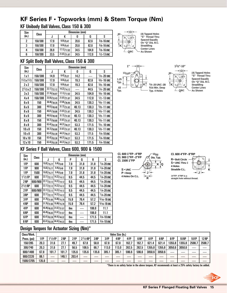### **KF Series F • Topworks (mm) & Stem Torque (Nm)**

KF Unibody Ball Valves, Class 150 & 300

| Size  | Class   | Dimension (mm) |             |      |       |                |  |  |  |  |  |
|-------|---------|----------------|-------------|------|-------|----------------|--|--|--|--|--|
| (in.) |         |                |             |      |       |                |  |  |  |  |  |
|       | 150/300 | 17.9           | $9.55/g_47$ | 20.6 | 82.6  | 3/8-16 UNC     |  |  |  |  |  |
|       | 150/300 | 17.9           | $9.55/g_47$ | 20.6 | 82.6  | $3/8 - 16$ UNC |  |  |  |  |  |
|       | 150/300 | 26.9           | 17.12/17.02 | 34.5 | 104.9 | $3/8 - 16$ UNC |  |  |  |  |  |
| 6     | 150/300 | 33.5           | 21.97/21.87 | 34.5 | 112.0 | $1/2 - 13$ UNC |  |  |  |  |  |

#### KF Split Body Ball Valves, Class 150 & 300

| Size                |              | <b>Dimension (mm)</b> |                |       |       |                          |  |  |  |  |  |
|---------------------|--------------|-----------------------|----------------|-------|-------|--------------------------|--|--|--|--|--|
| (in.)               | <b>Class</b> | J.                    | K              | O     | O     | S                        |  |  |  |  |  |
| 1x1                 | 150/300      | 14.9                  | $9.42/g_{.37}$ | 14.2  |       | 1/4-20 UNC               |  |  |  |  |  |
| 11/2x11/2           | 150/300      | 17.9                  | $9.55/g_{.47}$ | 19.3  | 82.6  | <sup>3</sup> /8 – 16 UNC |  |  |  |  |  |
| 2 x 2               | 150/300      | 17.9                  | 9.55/g.47      | 19.3  | 82.6  | <sup>3</sup> /8 – 16 UNC |  |  |  |  |  |
| 2 <sup>1</sup> /2x2 | 150/300      | 22.17/22.12           | 14.22/14.12    |       | 44.5  | 1/4-20 UNC               |  |  |  |  |  |
| $3\times 3$         | 150/300      | 27.10/26.97           | 17.12/17.02    | 34.5  | 104.9 | $3/8 - 16$ UNC           |  |  |  |  |  |
| 4 x 4               | 150/300      | 33.55/33.43           | 21.97/21.87    | 34.5  | 112.0 | 1/2-13 UNC               |  |  |  |  |  |
| 6 x 6               | 150          | 38.48/38.35           | 27.05/26.95    | 34.5  | 130.3 | $5/8 - 11$ UNC           |  |  |  |  |  |
| 6 x 6               | 300          | 49.53/49.40           | 31.72/31.62    | 40.13 | 130.3 | $5/8 - 11$ UNC           |  |  |  |  |  |
| 8 x 6               | 150          | 40.01/39.88           | 21.97/21.87    | 34.5  | 130.3 | $5/8 - 11$ UNC           |  |  |  |  |  |
| 8 x 6               | 300          | 49.53/49.40           | 31.72/31.62    | 40.13 | 130.3 | $5/8 - 11$ UNC           |  |  |  |  |  |
| 8 x 8               | 150          | 50.72/50.60           | 31.67/31.57    | 40.13 | 130.3 | $5/8 - 11$ UNC           |  |  |  |  |  |
| 8 x 8               | 300          | 63.42/63.30           | 44.37/44.27    | 53.3  | 171.5 | $3/4 - 10$ UNC           |  |  |  |  |  |
| $10 \times 8$       | 150          | 50.72/50.60           | 31.67/31.57    | 40.13 | 130.3 | $5/8 - 11$ UNC           |  |  |  |  |  |
| $10 \times 8$       | 300          | 63.42/63.30           | 44.37/44.27    | 53.3  | 171.5 | 3/4–10 UNC               |  |  |  |  |  |
| 10x10               | 150          | 63.42/63.30           | 44.37/44.27    | 53.3  | 171.5 | 3/4–10 UNC               |  |  |  |  |  |
| 12 x 10             | 150          | 63.42/63.30           | 44.37/44.27    | 53.3  | 171.5 | 3/4-10 UNC               |  |  |  |  |  |

#### KF Series F Ball Valves, Class 600, 900 & 1500

| Size            |              |             |                         |      |      |       |                 |
|-----------------|--------------|-------------|-------------------------|------|------|-------|-----------------|
| (in.)           | <b>Class</b> | J.          | K                       | P    | O    | R     | S               |
| 1FP             | 600          | 15.82/15.77 | $9.45/g_{.40}$          | 7.9  | 31.8 | 31.8  | 1/4-20 UNC      |
| 1FP             | 900          | 15.82/15.77 | $9.45/g_{.40}$          | 7.9  | 31.8 | 31.8  | 1/4–20 UNC      |
| 1FP             | 1500         | 15.82/15.77 | $9.45/g_{.40}$          | 7.9  | 31.8 | 31.8  | 1/4-20 UNC      |
| $11/2$ FP       | 600          | 22.17/22.12 | 14.22/14.12             | 9.5  | 44.5 | 44.5  | 1/4–20 UNC      |
| 2 RP            | 600/900      | 22.17/22.12 | 14.22/14.12             | 9.5  | 44.5 | 44.5  | 1/4–20 UNC      |
| $21/2$ RP       | 600          |             | 22.17/22.12 14.22/14.12 | 9.5  | 44.5 | 44.5  | 1/4-20 UNC      |
| 2FP             | 600/900      | 22.17/22.12 | 14.22/14.12             | 9.5  | 44.5 | 44.5  | 1/4-20 UNC      |
| 3RP             | 600          |             | 22.17/22.12 14.22/14.12 | 9.5  | 44.5 | 44.5  | 1/4-20 UNC      |
| 3FP             | 600          | 31.70/31.65 | 15.80/15.70             | 15.9 | 79.4 | 57.2  | $5/16 - 18$ UNC |
| 4 RP            | 600          | 31.70/31.65 | 15.80/15.70             | 15.9 | 79.4 | 57.2  | $5/16 - 18$ UNC |
| 4FP             | 600          | 45.49/45.03 | 31.67/31.57             | thru |      | 108.0 | 11.1            |
| 6RP             | 600          | 45.49/45.03 | 31.67/31.57             | thru |      | 108.0 | 11.1            |
| 6FP             | 600          | 63.47/63.30 | 44.42/44.32             | thru |      | 171.5 | $3/4 - 10$ UNC  |
| 8 <sub>RP</sub> | 600          | 63.47/63.30 | 44.42/44.32             | thru |      | 171.5 | $3/4 - 10$ UNC  |

### Design Torques for Actuator Sizing (Nm)\*

| Class/Work.  |       | Valve Size (In.) |                 |       |                      |                 |       |                 |       |                 |        |                 |        |        |       |              |
|--------------|-------|------------------|-----------------|-------|----------------------|-----------------|-------|-----------------|-------|-----------------|--------|-----------------|--------|--------|-------|--------------|
| Press. (psi) | 1FP   | 11/2FP           | 2 <sub>RP</sub> | 2FP   | 2 <sup>1</sup> /2 RP | 3 <sub>RP</sub> | 3FP   | 4 <sub>RP</sub> | 4FP   | 6 <sub>RP</sub> | 6FP    | 8 <sub>RP</sub> | 8FP    | 10 RP  | 10 FP | <b>12 RP</b> |
| 150/285      | 20.3  | 31.6             | 27.1            | 49.7  | 67.8                 | 58.8            | 67.8  | 67.8            | 162.7 | 162.            | 621.4  | 621.4           | 1355.8 | 1355.8 | 2598. | 2598.7       |
| 300/740      | 20.3  | 31.6             | 27.1            | 56.5  | 108.5                | 66.7            | 113.0 | 113.0           | 282.5 | 282.5           | 1355.8 | 1355.8          | 3050.6 | 3050.6 | ---   |              |
| 600/1480     | 67.8  | 101.7            | 101             | 135.6 | 135.6                | 135.6           | 305.1 | 305.            | 596.6 | 596.6           | 3050.6 | 3050.6          | ---    |        |       |              |
| 900/2220     | 88.1  | __               | 149. .          | 203.4 |                      |                 |       |                 |       |                 |        |                 |        |        |       |              |
| 1500/3705    | 135.6 |                  |                 |       |                      |                 |       |                 |       |                 |        |                 |        |        |       |              |

\*There is no safety factor in the above torques. KF recommends at least a 25% safety factory be added.





**O**

**O**

**K**

**.63 Typ.**

**1.25 Typ.** **13/32D**

**JD**

**"S" Thread Thru Spaced Equally On "Q" Dia. B.C. Center Lines** 

> **K 1/4 -20 UNC-2B 5/16 Min. Deep Typ. 4 Holes**



**(4) Tapped Holes "S" Thread Thru Spaced Equally On "Q" Dia. B.C. Straddling Center Lines As Shown**

**K Q R J S • UNC P • Deep 4 Holes On C.L. Cl. 600 1"FP - 4"RP Cl. 900 1"FP - 2"FP Cl. 1500 1"FP 13/32 Dia. Typ.**

| CI. 600 4"FP-8"RP                                             |  |  |  |  |  |  |  |
|---------------------------------------------------------------|--|--|--|--|--|--|--|
| R . Bolt Circle<br>S . UNC Thru ±<br>4 Holes<br>Straddle C.L. |  |  |  |  |  |  |  |
| <b>‡4"FP-6"RP</b> is a<br>straight hole without thread.       |  |  |  |  |  |  |  |